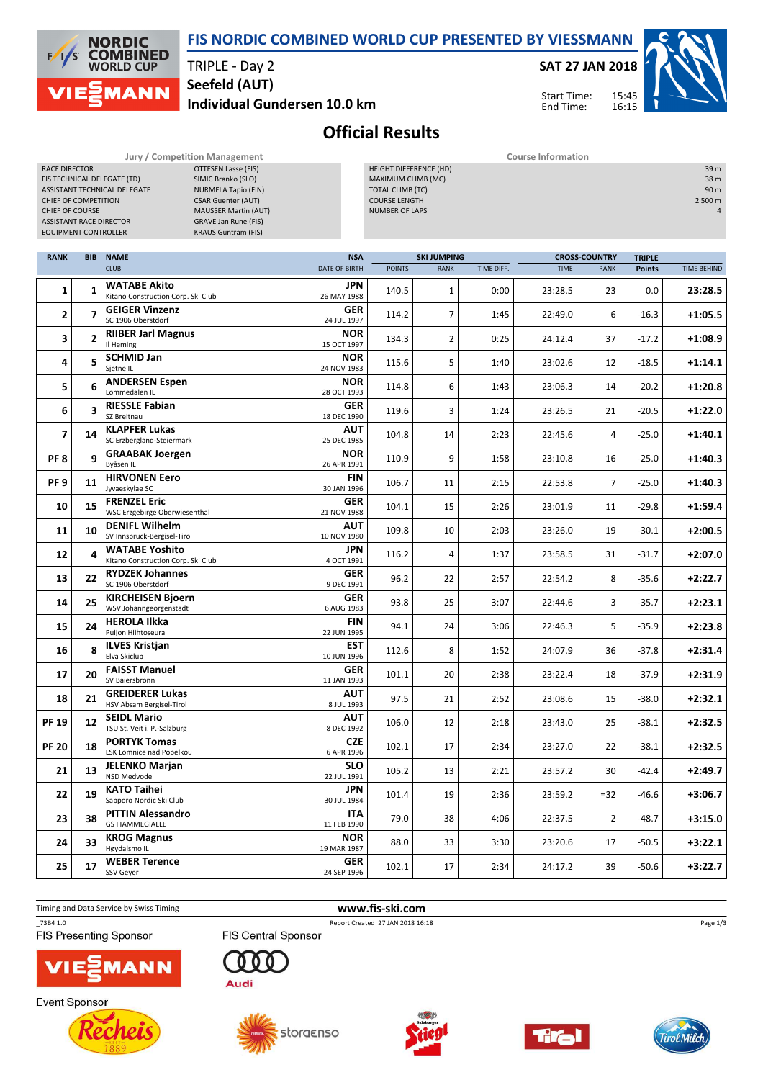FIS NORDIC COMBINED WORLD CUP PRESENTED BY VIESSMANN



TRIPLE - Day 2 Individual Gundersen 10.0 km Seefeld (AUT)

SAT 27 JAN 2018

Start Time: End Time:



Official Results

| <b>Jury / Competition Management</b>                                                                                                                                                                                                                                                                                                                                                                       |            |                                                           |  |                                                                                                                          | <b>Course Information</b> |                    |            |             |                                                   |               |                    |  |
|------------------------------------------------------------------------------------------------------------------------------------------------------------------------------------------------------------------------------------------------------------------------------------------------------------------------------------------------------------------------------------------------------------|------------|-----------------------------------------------------------|--|--------------------------------------------------------------------------------------------------------------------------|---------------------------|--------------------|------------|-------------|---------------------------------------------------|---------------|--------------------|--|
| <b>RACE DIRECTOR</b><br>OTTESEN Lasse (FIS)<br>FIS TECHNICAL DELEGATE (TD)<br>SIMIC Branko (SLO)<br>ASSISTANT TECHNICAL DELEGATE<br><b>NURMELA Tapio (FIN)</b><br>CHIEF OF COMPETITION<br><b>CSAR Guenter (AUT)</b><br><b>MAUSSER Martin (AUT)</b><br><b>CHIEF OF COURSE</b><br><b>ASSISTANT RACE DIRECTOR</b><br><b>GRAVE Jan Rune (FIS)</b><br><b>EQUIPMENT CONTROLLER</b><br><b>KRAUS Guntram (FIS)</b> |            |                                                           |  | HEIGHT DIFFERENCE (HD)<br>MAXIMUM CLIMB (MC)<br><b>TOTAL CLIMB (TC)</b><br><b>COURSE LENGTH</b><br><b>NUMBER OF LAPS</b> |                           |                    |            |             | 39 m<br>38 m<br>90 m<br>2 500 m<br>$\overline{4}$ |               |                    |  |
|                                                                                                                                                                                                                                                                                                                                                                                                            |            |                                                           |  |                                                                                                                          |                           |                    |            |             |                                                   |               |                    |  |
| <b>RANK</b>                                                                                                                                                                                                                                                                                                                                                                                                | <b>BIB</b> | <b>NAME</b>                                               |  | <b>NSA</b>                                                                                                               |                           | <b>SKI JUMPING</b> |            |             | <b>CROSS-COUNTRY</b>                              | <b>TRIPLE</b> |                    |  |
|                                                                                                                                                                                                                                                                                                                                                                                                            |            | <b>CLUB</b>                                               |  | <b>DATE OF BIRTH</b>                                                                                                     | <b>POINTS</b>             | <b>RANK</b>        | TIME DIFF. | <b>TIME</b> | <b>RANK</b>                                       | <b>Points</b> | <b>TIME BEHIND</b> |  |
|                                                                                                                                                                                                                                                                                                                                                                                                            |            | <b>WATABE Akito</b><br>Kitano Construction Corp. Ski Club |  | JPN<br>26 MAY 1988                                                                                                       | 140.5                     |                    | 0:00       | 23:28.5     | 23                                                | 0.0           | 23:28.5            |  |
| 2                                                                                                                                                                                                                                                                                                                                                                                                          |            | <b>GEIGER Vinzenz</b><br>SC 1906 Oberstdorf               |  | <b>GER</b><br>24 JUL 1997                                                                                                | 114.2                     |                    | 1:45       | 22:49.0     | 6                                                 | $-16.3$       | $+1:05.5$          |  |
| 3                                                                                                                                                                                                                                                                                                                                                                                                          |            | <b>RIIBER Jarl Magnus</b><br>Il Heming                    |  | <b>NOR</b><br>15 OCT 1997                                                                                                | 134.3                     | $\overline{2}$     | 0:25       | 24:12.4     | 37                                                | $-17.2$       | $+1:08.9$          |  |
| 4                                                                                                                                                                                                                                                                                                                                                                                                          |            | <b>SCHMID Jan</b><br>Sjetne IL                            |  | <b>NOR</b><br>24 NOV 1983                                                                                                | 115.6                     | 5                  | 1:40       | 23:02.6     | 12                                                | $-18.5$       | $+1:14.1$          |  |
|                                                                                                                                                                                                                                                                                                                                                                                                            |            | ANIDEDCENT FARAM                                          |  | <b>NOD</b>                                                                                                               |                           |                    |            |             |                                                   |               |                    |  |

| 1               | 1                       | Kitano Construction Corp. Ski Club                          | 26 MAY 1988               | 140.5 | 1              | 0:00 | 23:28.5 | 23             | 0.0     | 23:28.5   |
|-----------------|-------------------------|-------------------------------------------------------------|---------------------------|-------|----------------|------|---------|----------------|---------|-----------|
| $\overline{2}$  | $\overline{7}$          | <b>GEIGER Vinzenz</b><br>SC 1906 Oberstdorf                 | <b>GER</b><br>24 JUL 1997 | 114.2 | $\overline{7}$ | 1:45 | 22:49.0 | 6              | $-16.3$ | $+1:05.5$ |
| 3               | $\overline{2}$          | <b>RIIBER Jarl Magnus</b><br>Il Heming                      | <b>NOR</b><br>15 OCT 1997 | 134.3 | 2              | 0:25 | 24:12.4 | 37             | $-17.2$ | +1:08.9   |
| 4               | 5                       | <b>SCHMID Jan</b><br>Sjetne IL                              | <b>NOR</b><br>24 NOV 1983 | 115.6 | 5              | 1:40 | 23:02.6 | 12             | $-18.5$ | +1:14.1   |
| 5               | 6                       | <b>ANDERSEN Espen</b><br>Lommedalen IL                      | <b>NOR</b><br>28 OCT 1993 | 114.8 | 6              | 1:43 | 23:06.3 | 14             | $-20.2$ | $+1:20.8$ |
| 6               | $\overline{\mathbf{3}}$ | <b>RIESSLE Fabian</b><br>SZ Breitnau                        | <b>GER</b><br>18 DEC 1990 | 119.6 | 3              | 1:24 | 23:26.5 | 21             | $-20.5$ | $+1:22.0$ |
| $\overline{7}$  | 14                      | <b>KLAPFER Lukas</b><br>SC Erzbergland-Steiermark           | <b>AUT</b><br>25 DEC 1985 | 104.8 | 14             | 2:23 | 22:45.6 | 4              | $-25.0$ | +1:40.1   |
| PF <sub>8</sub> | q                       | <b>GRAABAK Joergen</b><br>Byåsen IL                         | <b>NOR</b><br>26 APR 1991 | 110.9 | 9              | 1:58 | 23:10.8 | 16             | $-25.0$ | +1:40.3   |
| PF <sub>9</sub> | 11                      | <b>HIRVONEN Eero</b><br>Jyvaeskylae SC                      | <b>FIN</b><br>30 JAN 1996 | 106.7 | 11             | 2:15 | 22:53.8 | $\overline{7}$ | $-25.0$ | $+1:40.3$ |
| 10              | 15                      | <b>FRENZEL Eric</b><br>WSC Erzgebirge Oberwiesenthal        | <b>GER</b><br>21 NOV 1988 | 104.1 | 15             | 2:26 | 23:01.9 | 11             | $-29.8$ | $+1:59.4$ |
| 11              | 10                      | <b>DENIFL Wilhelm</b><br>SV Innsbruck-Bergisel-Tirol        | <b>AUT</b><br>10 NOV 1980 | 109.8 | 10             | 2:03 | 23:26.0 | 19             | $-30.1$ | $+2:00.5$ |
| 12              | 4                       | <b>WATABE Yoshito</b><br>Kitano Construction Corp. Ski Club | <b>JPN</b><br>4 OCT 1991  | 116.2 | $\overline{4}$ | 1:37 | 23:58.5 | 31             | $-31.7$ | $+2:07.0$ |
| 13              | 22                      | <b>RYDZEK Johannes</b><br>SC 1906 Oberstdorf                | <b>GER</b><br>9 DEC 1991  | 96.2  | 22             | 2:57 | 22:54.2 | 8              | $-35.6$ | $+2:22.7$ |
| 14              | 25                      | <b>KIRCHEISEN Bjoern</b><br>WSV Johanngeorgenstadt          | <b>GER</b><br>6 AUG 1983  | 93.8  | 25             | 3:07 | 22:44.6 | 3              | $-35.7$ | $+2:23.1$ |
| 15              | 24                      | <b>HEROLA Ilkka</b><br>Puijon Hiihtoseura                   | <b>FIN</b><br>22 JUN 1995 | 94.1  | 24             | 3:06 | 22:46.3 | 5              | $-35.9$ | $+2:23.8$ |
| 16              | 8                       | <b>ILVES Kristjan</b><br>Elva Skiclub                       | <b>EST</b><br>10 JUN 1996 | 112.6 | 8              | 1:52 | 24:07.9 | 36             | $-37.8$ | $+2:31.4$ |
| 17              | 20                      | <b>FAISST Manuel</b><br>SV Baiersbronn                      | <b>GER</b><br>11 JAN 1993 | 101.1 | 20             | 2:38 | 23:22.4 | 18             | $-37.9$ | +2:31.9   |
| 18              | 21                      | <b>GREIDERER Lukas</b><br>HSV Absam Bergisel-Tirol          | <b>AUT</b><br>8 JUL 1993  | 97.5  | 21             | 2:52 | 23:08.6 | 15             | $-38.0$ | +2:32.1   |
| <b>PF 19</b>    | 12                      | <b>SEIDL Mario</b><br>TSU St. Veit i. P.-Salzburg           | <b>AUT</b><br>8 DEC 1992  | 106.0 | 12             | 2:18 | 23:43.0 | 25             | $-38.1$ | $+2:32.5$ |
| <b>PF 20</b>    | 18                      | <b>PORTYK Tomas</b><br>LSK Lomnice nad Popelkou             | CZE<br>6 APR 1996         | 102.1 | 17             | 2:34 | 23:27.0 | 22             | $-38.1$ | +2:32.5   |
| 21              | 13                      | <b>JELENKO Marjan</b><br>NSD Medvode                        | <b>SLO</b><br>22 JUL 1991 | 105.2 | 13             | 2:21 | 23:57.2 | 30             | $-42.4$ | +2:49.7   |
| 22              | 19                      | <b>KATO Taihei</b><br>Sapporo Nordic Ski Club               | <b>JPN</b><br>30 JUL 1984 | 101.4 | 19             | 2:36 | 23:59.2 | $= 32$         | $-46.6$ | +3:06.7   |
| 23              | 38                      | <b>PITTIN Alessandro</b><br><b>GS FIAMMEGIALLE</b>          | <b>ITA</b><br>11 FEB 1990 | 79.0  | 38             | 4:06 | 22:37.5 | $\overline{2}$ | $-48.7$ | +3:15.0   |
| 24              | 33                      | <b>KROG Magnus</b><br>Høydalsmo IL                          | <b>NOR</b><br>19 MAR 1987 | 88.0  | 33             | 3:30 | 23:20.6 | 17             | $-50.5$ | +3:22.1   |
| 25              | 17                      | <b>WEBER Terence</b><br>SSV Geyer                           | GER<br>24 SEP 1996        | 102.1 | 17             | 2:34 | 24:17.2 | 39             | $-50.6$ | $+3:22.7$ |
|                 |                         |                                                             |                           |       |                |      |         |                |         |           |

Timing and Data Service by Swiss Timing WWW.fis-ski.com



Page 1/3









 $0<sub>0</sub>$  $\bf{0}$ 

Audi





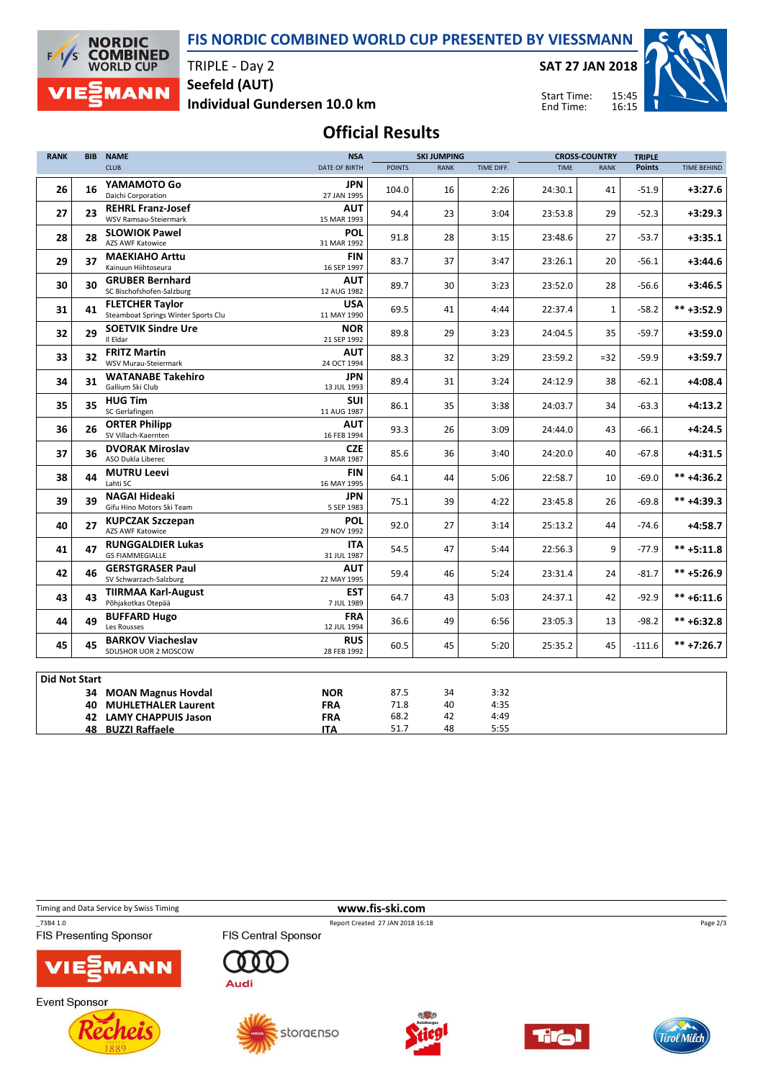FIS NORDIC COMBINED WORLD CUP PRESENTED BY VIESSMANN



TRIPLE - Day 2 Seefeld (AUT) SAT 27 JAN 2018

Start Time: End Time:



Individual Gundersen 10.0 km

| <b>RANK</b>          | <b>BIB</b> | <b>NAME</b>                                        | <b>NSA</b><br><b>SKI JUMPING</b> |               |             |            | <b>CROSS-COUNTRY</b> | <b>TRIPLE</b> |               |                    |
|----------------------|------------|----------------------------------------------------|----------------------------------|---------------|-------------|------------|----------------------|---------------|---------------|--------------------|
|                      |            | <b>CLUB</b>                                        | <b>DATE OF BIRTH</b>             | <b>POINTS</b> | <b>RANK</b> | TIME DIFF. | <b>TIME</b>          | <b>RANK</b>   | <b>Points</b> | <b>TIME BEHIND</b> |
|                      | 16         | YAMAMOTO Go                                        | JPN                              | 104.0         | 16          | 2:26       |                      | 41            | $-51.9$       | $+3:27.6$          |
| 26                   |            | Daichi Corporation                                 | 27 JAN 1995                      |               |             |            | 24:30.1              |               |               |                    |
| 27                   | 23         | <b>REHRL Franz-Josef</b>                           | <b>AUT</b>                       | 94.4          | 23          | 3:04       | 23:53.8              | 29            | $-52.3$       | $+3:29.3$          |
|                      |            | WSV Ramsau-Steiermark                              | 15 MAR 1993                      |               |             |            |                      |               |               |                    |
| 28                   | 28         | <b>SLOWIOK Pawel</b><br><b>AZS AWF Katowice</b>    | POL<br>31 MAR 1992               | 91.8          | 28          | 3:15       | 23:48.6              | 27            | $-53.7$       | $+3:35.1$          |
|                      |            | <b>MAEKIAHO Arttu</b>                              | <b>FIN</b>                       |               |             |            |                      |               |               |                    |
| 29                   | 37         | Kainuun Hiihtoseura                                | 16 SEP 1997                      | 83.7          | 37          | 3:47       | 23:26.1              | 20            | $-56.1$       | $+3:44.6$          |
|                      |            | <b>GRUBER Bernhard</b>                             | <b>AUT</b>                       |               |             |            |                      |               |               |                    |
| 30                   | 30         | SC Bischofshofen-Salzburg                          | 12 AUG 1982                      | 89.7          | 30          | 3:23       | 23:52.0              | 28            | $-56.6$       | $+3:46.5$          |
| 31                   | 41         | <b>FLETCHER Taylor</b>                             | <b>USA</b>                       | 69.5          | 41          | 4:44       | 22:37.4              | $\mathbf 1$   | $-58.2$       | ** +3:52.9         |
|                      |            | Steamboat Springs Winter Sports Clu                | 11 MAY 1990                      |               |             |            |                      |               |               |                    |
| 32                   | 29         | <b>SOETVIK Sindre Ure</b>                          | <b>NOR</b>                       | 89.8          | 29          | 3:23       | 24:04.5              | 35            | $-59.7$       | $+3:59.0$          |
|                      |            | Il Eldar                                           | 21 SEP 1992                      |               |             |            |                      |               |               |                    |
| 33                   | 32         | <b>FRITZ Martin</b><br>WSV Murau-Steiermark        | <b>AUT</b><br>24 OCT 1994        | 88.3          | 32          | 3:29       | 23:59.2              | $= 32$        | $-59.9$       | $+3:59.7$          |
|                      |            | <b>WATANABE Takehiro</b>                           | <b>JPN</b>                       |               |             |            |                      |               |               |                    |
| 34                   | 31         | Gallium Ski Club                                   | 13 JUL 1993                      | 89.4          | 31          | 3:24       | 24:12.9              | 38            | $-62.1$       | $+4:08.4$          |
| 35                   | 35         | <b>HUG Tim</b>                                     | <b>SUI</b>                       | 86.1          | 35          | 3:38       | 24:03.7              | 34            | $-63.3$       | $+4:13.2$          |
|                      |            | SC Gerlafingen                                     | 11 AUG 1987                      |               |             |            |                      |               |               |                    |
| 36                   | 26         | <b>ORTER Philipp</b><br>SV Villach-Kaernten        | AUT                              | 93.3          | 26          | 3:09       | 24:44.0              | 43            | $-66.1$       | $+4:24.5$          |
|                      |            | <b>DVORAK Miroslav</b>                             | 16 FEB 1994<br><b>CZE</b>        |               |             |            |                      |               |               |                    |
| 37                   | 36         | ASO Dukla Liberec                                  | 3 MAR 1987                       | 85.6          | 36          | 3:40       | 24:20.0              | 40            | $-67.8$       | $+4:31.5$          |
|                      |            | <b>MUTRU Leevi</b>                                 | <b>FIN</b>                       |               |             |            |                      |               |               |                    |
| 38                   | 44         | Lahti SC                                           | 16 MAY 1995                      | 64.1          | 44          | 5:06       | 22:58.7              | 10            | $-69.0$       | $*** +4:36.2$      |
| 39                   | 39         | <b>NAGAI Hideaki</b>                               | <b>JPN</b>                       | 75.1          | 39          | 4:22       | 23:45.8              | 26            | $-69.8$       | $*** +4:39.3$      |
|                      |            | Gifu Hino Motors Ski Team                          | 5 SEP 1983                       |               |             |            |                      |               |               |                    |
| 40                   | 27         | <b>KUPCZAK Szczepan</b><br><b>AZS AWF Katowice</b> | <b>POL</b>                       | 92.0          | 27          | 3:14       | 25:13.2              | 44            | $-74.6$       | $+4:58.7$          |
|                      |            | <b>RUNGGALDIER Lukas</b>                           | 29 NOV 1992<br><b>ITA</b>        |               |             |            |                      |               |               |                    |
| 41                   | 47         | <b>GS FIAMMEGIALLE</b>                             | 31 JUL 1987                      | 54.5          | 47          | 5:44       | 22:56.3              | 9             | $-77.9$       | $*** +5:11.8$      |
|                      |            | <b>GERSTGRASER Paul</b>                            | <b>AUT</b>                       |               |             |            |                      |               |               |                    |
| 42                   | 46         | SV Schwarzach-Salzburg                             | 22 MAY 1995                      | 59.4          | 46          | 5:24       | 23:31.4              | 24            | $-81.7$       | $*** +5:26.9$      |
| 43                   | 43         | <b>TIIRMAA Karl-August</b>                         | <b>EST</b>                       | 64.7          | 43          | 5:03       | 24:37.1              | 42            | $-92.9$       | $*** + 6:11.6$     |
|                      |            | Põhjakotkas Otepää                                 | 7 JUL 1989                       |               |             |            |                      |               |               |                    |
| 44                   | 49         | <b>BUFFARD Hugo</b><br>Les Rousses                 | <b>FRA</b>                       | 36.6          | 49          | 6:56       | 23:05.3              | 13            | $-98.2$       | $*** + 6:32.8$     |
|                      |            | <b>BARKOV Viacheslav</b>                           | 12 JUL 1994<br><b>RUS</b>        |               |             |            |                      |               |               |                    |
| 45                   | 45         | SDUSHOR UOR 2 MOSCOW                               | 28 FEB 1992                      | 60.5          | 45          | 5:20       | 25:35.2              | 45            | $-111.6$      | ** +7:26.7         |
|                      |            |                                                    |                                  |               |             |            |                      |               |               |                    |
| <b>Did Not Start</b> |            |                                                    |                                  |               |             |            |                      |               |               |                    |
|                      |            | 34 MOAN Magnus Hovdal                              | <b>NOR</b>                       | 87.5          | 34          | 3:32       |                      |               |               |                    |
|                      | 40         | <b>MUHLETHALER Laurent</b>                         | <b>FRA</b>                       | 71.8          | 40          | 4:35       |                      |               |               |                    |
|                      | 42         | <b>LAMY CHAPPUIS Jason</b>                         | <b>FRA</b>                       | 68.2          | 42          | 4:49       |                      |               |               |                    |
|                      |            | 48 BUZZI Raffaele                                  | <b>ITA</b>                       | 51.7          | 48          | 5:55       |                      |               |               |                    |